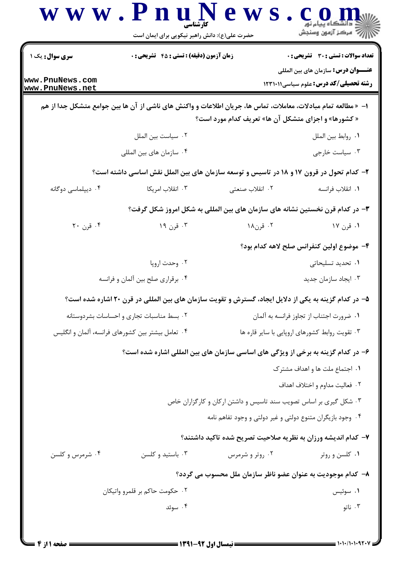| <b>سری سوال :</b> یک ۱                    | <b>زمان آزمون (دقیقه) : تستی : 45 قشریحی : 0</b>                                                               |                                                                   | تعداد سوالات : تستي : 30 ٪ تشريحي : 0                                                       |  |
|-------------------------------------------|----------------------------------------------------------------------------------------------------------------|-------------------------------------------------------------------|---------------------------------------------------------------------------------------------|--|
| www.PnuNews.com<br>www.PnuNews.net        |                                                                                                                |                                                                   | <b>عنــــوان درس:</b> سازمان های بین المللی<br><b>رشته تحصیلی/کد درس:</b> علوم سیاسی1۲۳۱۰۱۱ |  |
|                                           | ا−  « مطالعه تمام مبادلات، معاملات، تماس ها، جریان اطلاعات و واکنش های ناشی از آن ها بین جوامع متشکل جدا از هم | « کشورها» و اجزای متشکل آن ها» تعریف کدام مورد است؟               |                                                                                             |  |
|                                           | ٠٢ سياست بين الملل                                                                                             |                                                                   | ٠١. روابط بين الملل                                                                         |  |
|                                           | ۰۴ سازمان های بین المللی                                                                                       |                                                                   | ۰۳ سیاست خارجی                                                                              |  |
|                                           | ۲- کدام تحول در قرون ۱۷ و ۱۸ در تاسیس و توسعه سازمان های بین الملل نقش اساسی داشته است؟                        |                                                                   |                                                                                             |  |
| ۰۴ دیپلماسی دوگانه                        | ۰۳ انقلاب امریکا                                                                                               | ٢. انقلاب صنعتي                                                   | ٠١. انقلاب فرانسه                                                                           |  |
|                                           | ۳– در کدام قرن نخستین نشانه های سازمان های بین المللی به شکل امروز شکل گرفت؟                                   |                                                                   |                                                                                             |  |
| ۰۴ قرن ۲۰                                 | ۰۳ قرن ۱۹                                                                                                      | ۰۲ قرن۱۸                                                          | ۱. قرن ۱۷                                                                                   |  |
|                                           |                                                                                                                |                                                                   | ۴– موضوع اولین کنفرانس صلح لاهه کدام بود؟                                                   |  |
|                                           | ۰۲ وحدت اروپا                                                                                                  |                                                                   | ۰۱ تحدید تسلیحاتی                                                                           |  |
|                                           | ۰۴ برقراری صلح بین آلمان و فرانسه                                                                              | ۰۳ ایجاد سازمان جدید                                              |                                                                                             |  |
|                                           | ۵– در کدام گزینه به یکی از دلایل ایجاد، گسترش و تقویت سازمان های بین المللی در قرن ۲۰ اشاره شده است؟           |                                                                   |                                                                                             |  |
| ٠٢ بسط مناسبات تجارى و احساسات بشردوستانه |                                                                                                                | ٠١ ضرورت اجتناب از تجاوز فرانسه به آلمان                          |                                                                                             |  |
|                                           | ۰۴ تعامل بیشتر بین کشورهای فرانسه، آلمان و انگلیس                                                              | ۰۳ تقویت روابط کشورهای اروپایی با سایر قاره ها                    |                                                                                             |  |
|                                           | ۶– در کدام گزینه به برخی از ویژگی های اساسی سازمان های بین المللی اشاره شده است؟                               |                                                                   |                                                                                             |  |
|                                           |                                                                                                                |                                                                   | ۰۱ اجتماع ملت ها و اهداف مشترک                                                              |  |
|                                           |                                                                                                                |                                                                   | ٠٢ فعاليت مداوم و اختلاف اهداف                                                              |  |
|                                           |                                                                                                                | ۰۳ شکل گیری بر اساس تصویب سند تاسیس و داشتن ارکان و کارگزاران خاص |                                                                                             |  |
|                                           |                                                                                                                | ۰۴ وجود بازیگران متنوع دولتی و غیر دولتی و وجود تفاهم نامه        |                                                                                             |  |
|                                           |                                                                                                                |                                                                   | ۷– کدام اندیشه ورزان به نظریه صلاحیت تصریح شده تاکید داشتند؟                                |  |
| ۰۴ شرمرس و کلسن                           | ۰۳ باستید و کلسن                                                                                               | ۰۲ روتر و شرمرس                                                   | ۰۱ کلسن و روتر                                                                              |  |
|                                           |                                                                                                                |                                                                   | ۸– کدام موجودیت به عنوان عضو ناظر سازمان ملل محسوب می گردد؟                                 |  |
| ۰۲ حکومت حاکم بر قلمرو واتیکان            |                                                                                                                |                                                                   | ۰۱ سوئیس                                                                                    |  |
| ۰۴ سوئد                                   |                                                                                                                |                                                                   | ۰۳ ناتو                                                                                     |  |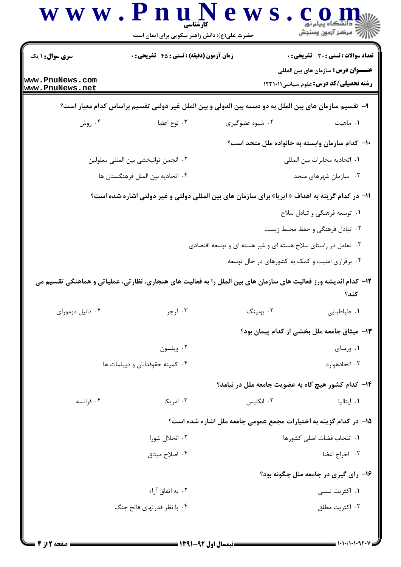|                                      | www.PnuNews<br>حضرت علی(ع): دانش راهبر نیکویی برای ایمان است | ڪ دانشڪاه پيام نور<br>  <i> √ مرڪ</i> ز آزمون وسنڊش                                                                     |
|--------------------------------------|--------------------------------------------------------------|-------------------------------------------------------------------------------------------------------------------------|
| <b>سری سوال : ۱ یک</b>               | <b>زمان آزمون (دقیقه) : تستی : 45 تشریحی : 0</b>             | <b>تعداد سوالات : تستی : 30 ٪ تشریحی : 0</b><br><b>عنــــوان درس:</b> سازمان های بین المللی                             |
| www.PnuNews.com<br>www.PnuNews.net   |                                                              | <b>رشته تحصیلی/کد درس:</b> علوم سیاسی123111                                                                             |
|                                      |                                                              | ۹–  تقسیم سازمان های بین الملل به دو دسته بین الدولی و بین الملل غیر دولتی تقسیم براساس کدام معیار است؟                 |
| ۰۴ روش                               | ۰۳ نوع اعضا                                                  | ۰۲ شیوه عضوگیری<br>۰۱ ماهيت                                                                                             |
|                                      |                                                              | ۱۰– کدام سازمان وابسته به خانواده ملل متحد است؟                                                                         |
| ٠٢ انجمن توانبخشي بين المللي معلولين |                                                              | ٠١. اتحاديه مخابرات بين المللي                                                                                          |
|                                      | ۰۴ اتحادیه بین الملل فرهنگستان ها                            | ۰۳ سازمان شهرهای متحد                                                                                                   |
|                                      |                                                              | 11– در کدام گزینه به اهداف « ایریا» برای سازمان های بین المللی دولتی و غیر دولتی اشاره شده است؟                         |
|                                      |                                                              | ۰۱ توسعه فرهنگی و تبادل سلاح                                                                                            |
|                                      |                                                              | ۰۲ تبادل فرهنگی و حفظ محیط زیست                                                                                         |
|                                      |                                                              | ۰۳ تعامل در راستای سلاح هسته ای و غیر هسته ای و توسعه اقتصادی                                                           |
|                                      |                                                              | ۰۴ برقراری امنیت و کمک به کشورهای در حال توسعه                                                                          |
|                                      |                                                              | ۱۲– کدام اندیشه ورز فعالیت های سازمان های بین الملل را به فعالیت های هنجاری، نظارتی، عملیاتی و هماهنگی تقسیم می<br>كند؟ |
| ۰۴ دانیل دومورای                     | ۰۳ آرچر                                                      | ۰۲ بونینگ<br>١. طباطبايي                                                                                                |
|                                      |                                                              | ۱۳– میثاق جامعه ملل بخشی از کدام پیمان بود؟                                                                             |
|                                      | ۰۲ ویلسون                                                    | ۰۱ ورسای                                                                                                                |
|                                      | ۰۴ کمیته حقوقدانان و دیپلمات ها                              | ۰۳ اتحادهوار د                                                                                                          |
|                                      |                                                              | ۱۴– کدام کشور هیچ گاه به عضویت جامعه ملل در نیامد؟                                                                      |
| ۰۴ فرانسه                            | ۰۳ امریکا                                                    | ۰۲ انگلیس<br>۰۱ ایتالیا                                                                                                 |
|                                      |                                                              | ۱۵– در کدام گزینه به اختیارات مجمع عمومی جامعه ملل اشاره شده است؟                                                       |
|                                      | ۰۲ انحلال شورا                                               | ٠١ انتخاب قضات اصلي كشورها                                                                                              |
|                                      | ۰۴ اصلاح میثاق                                               | ۰۳ اخراج اعضا                                                                                                           |
|                                      |                                                              | ۱۶– رای گیری در جامعه ملل چگونه بود؟                                                                                    |
|                                      | ۰۲ به اتفاق آراء                                             | ۰۱ اکثریت نسبی                                                                                                          |
|                                      | ۰۴ با نظر قدرتهای فاتح جنگ                                   | ۰۳ اکثریت مطلق                                                                                                          |
|                                      |                                                              |                                                                                                                         |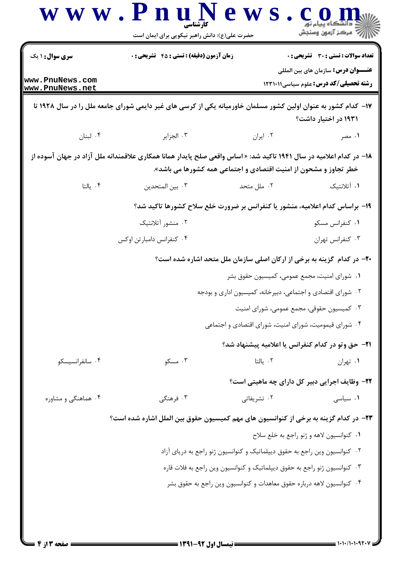|                                    | حضرت علی(ع): دانش راهبر نیکویی برای ایمان است                                                                       |                                                                                            | أأزاته مركز آزمون وسنجش                                                        |  |
|------------------------------------|---------------------------------------------------------------------------------------------------------------------|--------------------------------------------------------------------------------------------|--------------------------------------------------------------------------------|--|
| <b>سری سوال : ۱ یک</b>             | <b>زمان آزمون (دقیقه) : تستی : 45 تشریحی : 0</b>                                                                    |                                                                                            | <b>تعداد سوالات : تستی : 30 ٪ تشریحی : 0</b>                                   |  |
| www.PnuNews.com<br>www.PnuNews.net |                                                                                                                     | <b>عنــــوان درس:</b> سازمان های بین المللی<br><b>رشته تحصیلی/کد درس:</b> علوم سیاسی123111 |                                                                                |  |
|                                    | ۱۷– کدام کشور به عنوان اولین کشور مسلمان خاورمیانه یکی از کرسی های غیر دایمی شورای جامعه ملل را در سال ۱۹۲۸ تا      |                                                                                            | ۱۹۳۱ در اختیار داشت؟                                                           |  |
| ۰۴ لبنان                           | ۰۳ الجزایر                                                                                                          | ۰۲ ایران                                                                                   | ۰۱ مصر                                                                         |  |
|                                    | ۱۸– در کدام اعلامیه در سال ۱۹۴۱ تاکید شد: « اساس واقعی صلح پایدار همانا همکاری علاقمندانه ملل آزاد در جهان آسوده از | خطر تجاوز و مشحون از امنیت اقتصادی و اجتماعی همه کشورها می باشد».                          |                                                                                |  |
| ۰۴ يالتا                           | ۰۳ بين المتحدين                                                                                                     | ۰۲ ملل متحد                                                                                | ۰۱ آتلانتیک                                                                    |  |
|                                    | ۱۹- براساس کدام اعلامیه، منشور یا کنفرانس بر ضرورت خلع سلاح کشورها تاکید شد؟                                        |                                                                                            |                                                                                |  |
|                                    | ۰۲ منشور آتلانتیک                                                                                                   |                                                                                            | ۰۱ کنفرانس مسکو                                                                |  |
|                                    | ۰۴ کنفرانس دامبارتن اوکس                                                                                            |                                                                                            | ۰۳ كنفرانس تهران                                                               |  |
|                                    |                                                                                                                     |                                                                                            | <b>۲۰</b> - در کدام گزینه به برخی از ارکان اصلی سازمان ملل متحد اشاره شده است؟ |  |
|                                    |                                                                                                                     |                                                                                            | ۰۱ شورای امنیت، مجمع عمومی، کمیسیون حقوق بشر                                   |  |
|                                    |                                                                                                                     |                                                                                            | ۰۲ شورای اقتصادی و اجتماعی، دبیرخانه، کمیسیون اداری و بودجه                    |  |
|                                    | ۰۳ کمیسیون حقوقی، مجمع عمومی، شورای امنیت                                                                           |                                                                                            |                                                                                |  |
|                                    | ۰۴ شورای قیمومیت، شورای امنیت، شورای اقتصادی و اجتماعی                                                              |                                                                                            |                                                                                |  |
|                                    |                                                                                                                     |                                                                                            | <b>٢١</b> - حق وتو در كدام كنفرانس يا اعلاميه پيشنهاد شد؟                      |  |
| ۰۴ سانفرانسیسکو                    | ۰۳ مسکو                                                                                                             | ۰۲ یالتا                                                                                   | ٠١ تهران                                                                       |  |
|                                    |                                                                                                                     |                                                                                            | <b>۲۲-</b> وظایف اجرایی دبیر کل دارای چه ماهیتی است؟                           |  |
| ۰۴ هماهنگی و مشاوره                | ۰۳ فرهنگی                                                                                                           | ۰۲ تشریفاتی                                                                                | ۰۱ سیاسی                                                                       |  |
|                                    | ۲۳– در کدام گزینه به برخی از کنوانسیون های مهم کمیسیون حقوق بین الملل اشاره شده است؟                                |                                                                                            |                                                                                |  |
|                                    |                                                                                                                     |                                                                                            | ٠١ كنوانسيون لاهه و ژنو راجع به خلع سلاح                                       |  |
|                                    |                                                                                                                     |                                                                                            | ۰۲ کنوانسیون وین راجع به حقوق دیپلماتیک و کنوانسیون ژنو راجع به دریای آزاد     |  |
|                                    |                                                                                                                     |                                                                                            | ۰۳ کنوانسیون ژنو راجع به حقوق دیپلماتیک و کنوانسیون وین راجع به فلات قاره      |  |
|                                    |                                                                                                                     |                                                                                            | ۰۴ کنوانسیون لاهه درباره حقوق معاهدات و کنوانسیون وین راجع به حقوق بشر         |  |